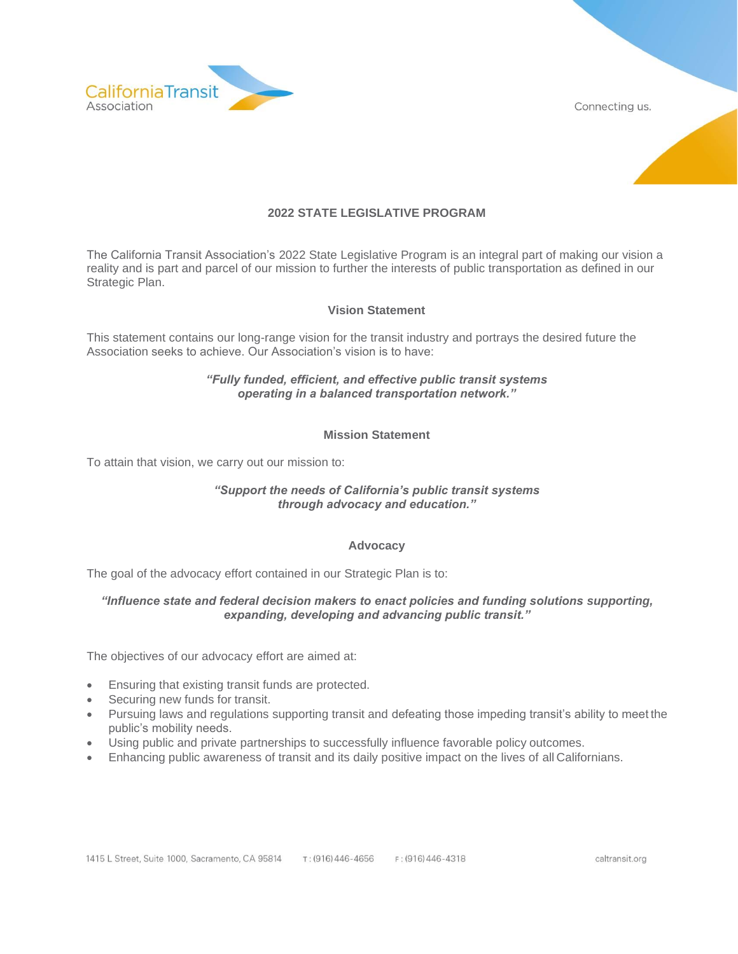



# **2022 STATE LEGISLATIVE PROGRAM**

The California Transit Association's 2022 State Legislative Program is an integral part of making our vision a reality and is part and parcel of our mission to further the interests of public transportation as defined in our Strategic Plan.

## **Vision Statement**

This statement contains our long-range vision for the transit industry and portrays the desired future the Association seeks to achieve. Our Association's vision is to have:

#### *"Fully funded, efficient, and effective public transit systems operating in a balanced transportation network."*

## **Mission Statement**

To attain that vision, we carry out our mission to:

## *"Support the needs of California's public transit systems through advocacy and education."*

#### **Advocacy**

The goal of the advocacy effort contained in our Strategic Plan is to:

## *"Influence state and federal decision makers to enact policies and funding solutions supporting, expanding, developing and advancing public transit."*

The objectives of our advocacy effort are aimed at:

- Ensuring that existing transit funds are protected.
- Securing new funds for transit.
- Pursuing laws and regulations supporting transit and defeating those impeding transit's ability to meet the public's mobility needs.
- Using public and private partnerships to successfully influence favorable policy outcomes.
- Enhancing public awareness of transit and its daily positive impact on the lives of all Californians.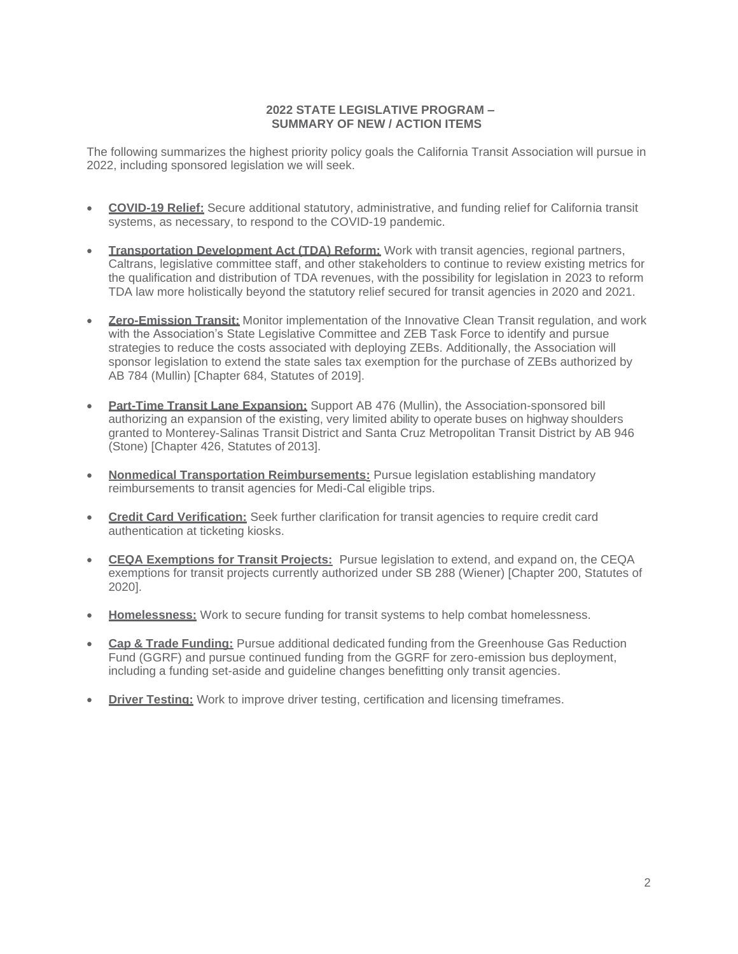# **2022 STATE LEGISLATIVE PROGRAM – SUMMARY OF NEW / ACTION ITEMS**

The following summarizes the highest priority policy goals the California Transit Association will pursue in 2022, including sponsored legislation we will seek.

- **COVID-19 Relief:** Secure additional statutory, administrative, and funding relief for California transit systems, as necessary, to respond to the COVID-19 pandemic.
- **Transportation Development Act (TDA) Reform:** Work with transit agencies, regional partners, Caltrans, legislative committee staff, and other stakeholders to continue to review existing metrics for the qualification and distribution of TDA revenues, with the possibility for legislation in 2023 to reform TDA law more holistically beyond the statutory relief secured for transit agencies in 2020 and 2021.
- **Zero-Emission Transit:** Monitor implementation of the Innovative Clean Transit regulation, and work with the Association's State Legislative Committee and ZEB Task Force to identify and pursue strategies to reduce the costs associated with deploying ZEBs. Additionally, the Association will sponsor legislation to extend the state sales tax exemption for the purchase of ZEBs authorized by AB 784 (Mullin) [Chapter 684, Statutes of 2019].
- **Part-Time Transit Lane Expansion:** Support AB 476 (Mullin), the Association-sponsored bill authorizing an expansion of the existing, very limited ability to operate buses on highway shoulders granted to Monterey-Salinas Transit District and Santa Cruz Metropolitan Transit District by AB 946 (Stone) [Chapter 426, Statutes of 2013].
- **Nonmedical Transportation Reimbursements:** Pursue legislation establishing mandatory reimbursements to transit agencies for Medi-Cal eligible trips.
- **Credit Card Verification:** Seek further clarification for transit agencies to require credit card authentication at ticketing kiosks.
- **CEQA Exemptions for Transit Projects:** Pursue legislation to extend, and expand on, the CEQA exemptions for transit projects currently authorized under SB 288 (Wiener) [Chapter 200, Statutes of 2020].
- **Homelessness:** Work to secure funding for transit systems to help combat homelessness.
- **Cap & Trade Funding:** Pursue additional dedicated funding from the Greenhouse Gas Reduction Fund (GGRF) and pursue continued funding from the GGRF for zero-emission bus deployment, including a funding set-aside and guideline changes benefitting only transit agencies.
- **Driver Testing:** Work to improve driver testing, certification and licensing timeframes.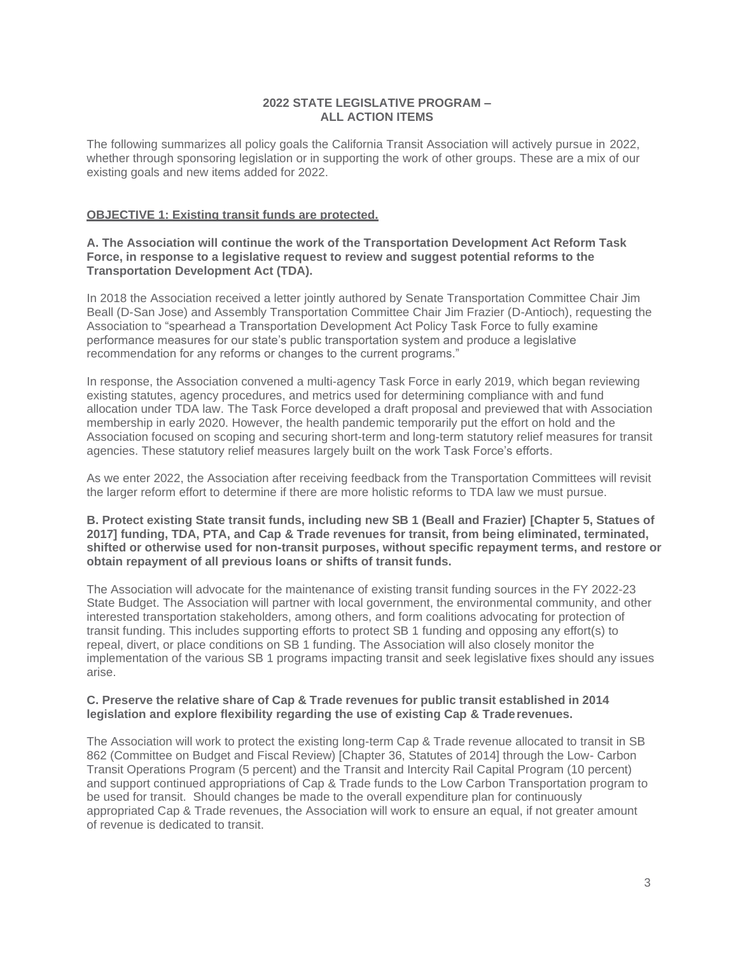## **2022 STATE LEGISLATIVE PROGRAM – ALL ACTION ITEMS**

The following summarizes all policy goals the California Transit Association will actively pursue in 2022, whether through sponsoring legislation or in supporting the work of other groups. These are a mix of our existing goals and new items added for 2022.

#### **OBJECTIVE 1: Existing transit funds are protected.**

## **A. The Association will continue the work of the Transportation Development Act Reform Task Force, in response to a legislative request to review and suggest potential reforms to the Transportation Development Act (TDA).**

In 2018 the Association received a letter jointly authored by Senate Transportation Committee Chair Jim Beall (D-San Jose) and Assembly Transportation Committee Chair Jim Frazier (D-Antioch), requesting the Association to "spearhead a Transportation Development Act Policy Task Force to fully examine performance measures for our state's public transportation system and produce a legislative recommendation for any reforms or changes to the current programs."

In response, the Association convened a multi-agency Task Force in early 2019, which began reviewing existing statutes, agency procedures, and metrics used for determining compliance with and fund allocation under TDA law. The Task Force developed a draft proposal and previewed that with Association membership in early 2020. However, the health pandemic temporarily put the effort on hold and the Association focused on scoping and securing short-term and long-term statutory relief measures for transit agencies. These statutory relief measures largely built on the work Task Force's efforts.

As we enter 2022, the Association after receiving feedback from the Transportation Committees will revisit the larger reform effort to determine if there are more holistic reforms to TDA law we must pursue.

#### **B. Protect existing State transit funds, including new SB 1 (Beall and Frazier) [Chapter 5, Statues of 2017] funding, TDA, PTA, and Cap & Trade revenues for transit, from being eliminated, terminated, shifted or otherwise used for non-transit purposes, without specific repayment terms, and restore or obtain repayment of all previous loans or shifts of transit funds.**

The Association will advocate for the maintenance of existing transit funding sources in the FY 2022-23 State Budget. The Association will partner with local government, the environmental community, and other interested transportation stakeholders, among others, and form coalitions advocating for protection of transit funding. This includes supporting efforts to protect SB 1 funding and opposing any effort(s) to repeal, divert, or place conditions on SB 1 funding. The Association will also closely monitor the implementation of the various SB 1 programs impacting transit and seek legislative fixes should any issues arise.

#### **C. Preserve the relative share of Cap & Trade revenues for public transit established in 2014 legislation and explore flexibility regarding the use of existing Cap & Traderevenues.**

The Association will work to protect the existing long-term Cap & Trade revenue allocated to transit in SB 862 (Committee on Budget and Fiscal Review) [Chapter 36, Statutes of 2014] through the Low- Carbon Transit Operations Program (5 percent) and the Transit and Intercity Rail Capital Program (10 percent) and support continued appropriations of Cap & Trade funds to the Low Carbon Transportation program to be used for transit. Should changes be made to the overall expenditure plan for continuously appropriated Cap & Trade revenues, the Association will work to ensure an equal, if not greater amount of revenue is dedicated to transit.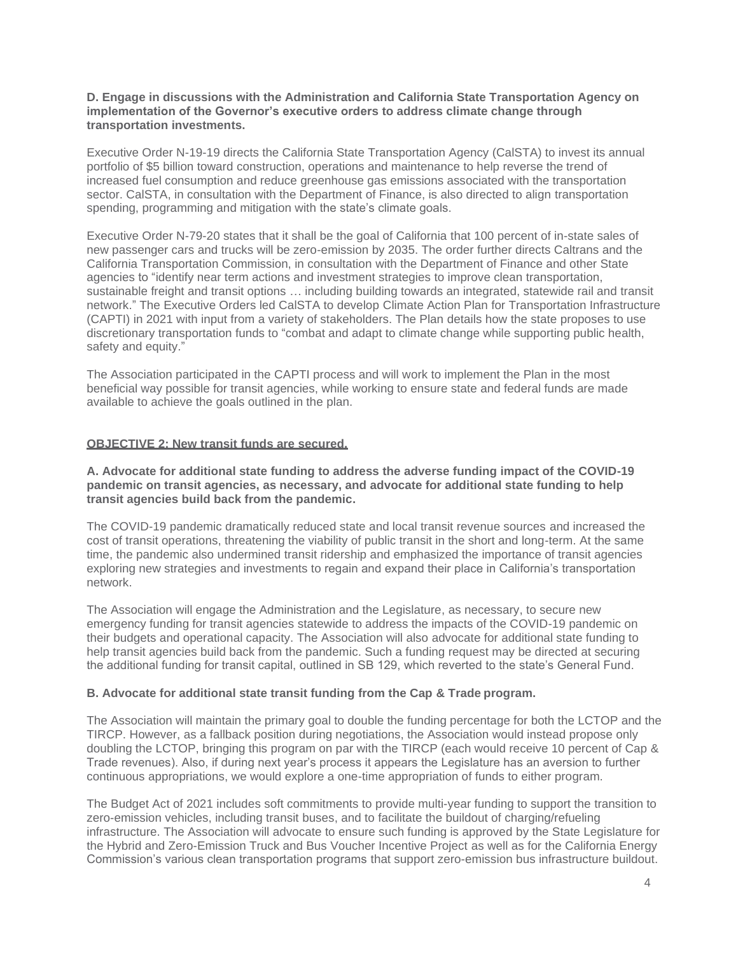#### **D. Engage in discussions with the Administration and California State Transportation Agency on implementation of the Governor's executive orders to address climate change through transportation investments.**

Executive Order N-19-19 directs the California State Transportation Agency (CalSTA) to invest its annual portfolio of \$5 billion toward construction, operations and maintenance to help reverse the trend of increased fuel consumption and reduce greenhouse gas emissions associated with the transportation sector. CalSTA, in consultation with the Department of Finance, is also directed to align transportation spending, programming and mitigation with the state's climate goals.

Executive Order N-79-20 states that it shall be the goal of California that 100 percent of in-state sales of new passenger cars and trucks will be zero-emission by 2035. The order further directs Caltrans and the California Transportation Commission, in consultation with the Department of Finance and other State agencies to "identify near term actions and investment strategies to improve clean transportation, sustainable freight and transit options … including building towards an integrated, statewide rail and transit network." The Executive Orders led CalSTA to develop Climate Action Plan for Transportation Infrastructure (CAPTI) in 2021 with input from a variety of stakeholders. The Plan details how the state proposes to use discretionary transportation funds to "combat and adapt to climate change while supporting public health, safety and equity."

The Association participated in the CAPTI process and will work to implement the Plan in the most beneficial way possible for transit agencies, while working to ensure state and federal funds are made available to achieve the goals outlined in the plan.

## **OBJECTIVE 2: New transit funds are secured.**

## **A. Advocate for additional state funding to address the adverse funding impact of the COVID-19 pandemic on transit agencies, as necessary, and advocate for additional state funding to help transit agencies build back from the pandemic.**

The COVID-19 pandemic dramatically reduced state and local transit revenue sources and increased the cost of transit operations, threatening the viability of public transit in the short and long-term. At the same time, the pandemic also undermined transit ridership and emphasized the importance of transit agencies exploring new strategies and investments to regain and expand their place in California's transportation network.

The Association will engage the Administration and the Legislature, as necessary, to secure new emergency funding for transit agencies statewide to address the impacts of the COVID-19 pandemic on their budgets and operational capacity. The Association will also advocate for additional state funding to help transit agencies build back from the pandemic. Such a funding request may be directed at securing the additional funding for transit capital, outlined in SB 129, which reverted to the state's General Fund.

## **B. Advocate for additional state transit funding from the Cap & Trade program.**

The Association will maintain the primary goal to double the funding percentage for both the LCTOP and the TIRCP. However, as a fallback position during negotiations, the Association would instead propose only doubling the LCTOP, bringing this program on par with the TIRCP (each would receive 10 percent of Cap & Trade revenues). Also, if during next year's process it appears the Legislature has an aversion to further continuous appropriations, we would explore a one-time appropriation of funds to either program.

The Budget Act of 2021 includes soft commitments to provide multi-year funding to support the transition to zero-emission vehicles, including transit buses, and to facilitate the buildout of charging/refueling infrastructure. The Association will advocate to ensure such funding is approved by the State Legislature for the Hybrid and Zero-Emission Truck and Bus Voucher Incentive Project as well as for the California Energy Commission's various clean transportation programs that support zero-emission bus infrastructure buildout.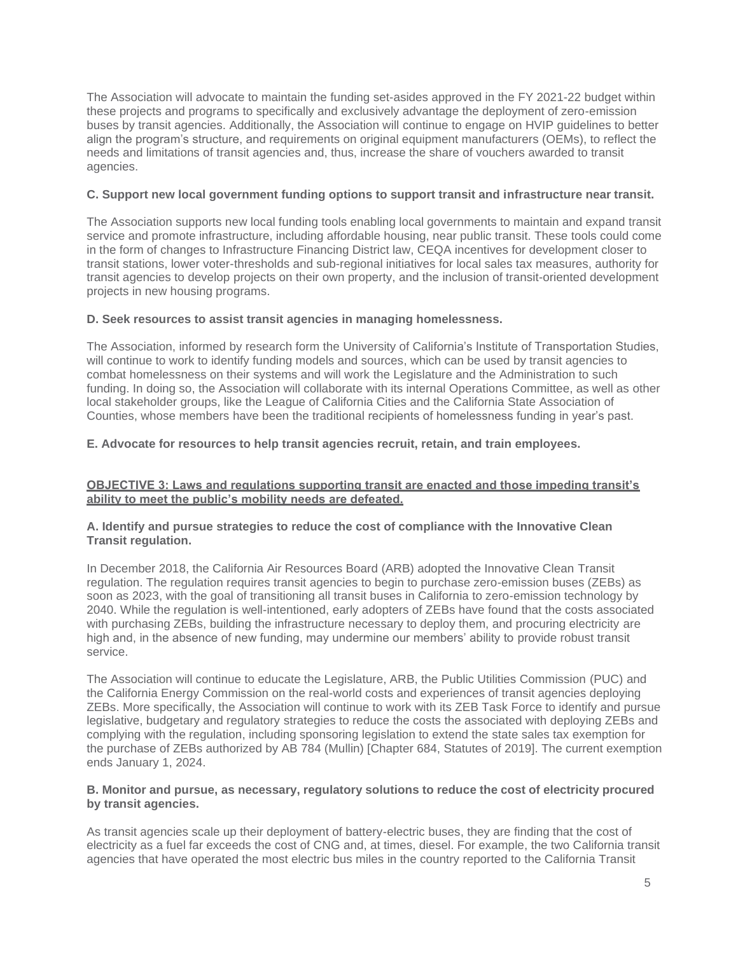The Association will advocate to maintain the funding set-asides approved in the FY 2021-22 budget within these projects and programs to specifically and exclusively advantage the deployment of zero-emission buses by transit agencies. Additionally, the Association will continue to engage on HVIP guidelines to better align the program's structure, and requirements on original equipment manufacturers (OEMs), to reflect the needs and limitations of transit agencies and, thus, increase the share of vouchers awarded to transit agencies.

## **C. Support new local government funding options to support transit and infrastructure near transit.**

The Association supports new local funding tools enabling local governments to maintain and expand transit service and promote infrastructure, including affordable housing, near public transit. These tools could come in the form of changes to Infrastructure Financing District law, CEQA incentives for development closer to transit stations, lower voter-thresholds and sub-regional initiatives for local sales tax measures, authority for transit agencies to develop projects on their own property, and the inclusion of transit-oriented development projects in new housing programs.

#### **D. Seek resources to assist transit agencies in managing homelessness.**

The Association, informed by research form the University of California's Institute of Transportation Studies, will continue to work to identify funding models and sources, which can be used by transit agencies to combat homelessness on their systems and will work the Legislature and the Administration to such funding. In doing so, the Association will collaborate with its internal Operations Committee, as well as other local stakeholder groups, like the League of California Cities and the California State Association of Counties, whose members have been the traditional recipients of homelessness funding in year's past.

#### **E. Advocate for resources to help transit agencies recruit, retain, and train employees.**

## **OBJECTIVE 3: Laws and regulations supporting transit are enacted and those impeding transit's ability to meet the public's mobility needs are defeated.**

## **A. Identify and pursue strategies to reduce the cost of compliance with the Innovative Clean Transit regulation.**

In December 2018, the California Air Resources Board (ARB) adopted the Innovative Clean Transit regulation. The regulation requires transit agencies to begin to purchase zero-emission buses (ZEBs) as soon as 2023, with the goal of transitioning all transit buses in California to zero-emission technology by 2040. While the regulation is well-intentioned, early adopters of ZEBs have found that the costs associated with purchasing ZEBs, building the infrastructure necessary to deploy them, and procuring electricity are high and, in the absence of new funding, may undermine our members' ability to provide robust transit service.

The Association will continue to educate the Legislature, ARB, the Public Utilities Commission (PUC) and the California Energy Commission on the real-world costs and experiences of transit agencies deploying ZEBs. More specifically, the Association will continue to work with its ZEB Task Force to identify and pursue legislative, budgetary and regulatory strategies to reduce the costs the associated with deploying ZEBs and complying with the regulation, including sponsoring legislation to extend the state sales tax exemption for the purchase of ZEBs authorized by AB 784 (Mullin) [Chapter 684, Statutes of 2019]. The current exemption ends January 1, 2024.

#### **B. Monitor and pursue, as necessary, regulatory solutions to reduce the cost of electricity procured by transit agencies.**

As transit agencies scale up their deployment of battery-electric buses, they are finding that the cost of electricity as a fuel far exceeds the cost of CNG and, at times, diesel. For example, the two California transit agencies that have operated the most electric bus miles in the country reported to the California Transit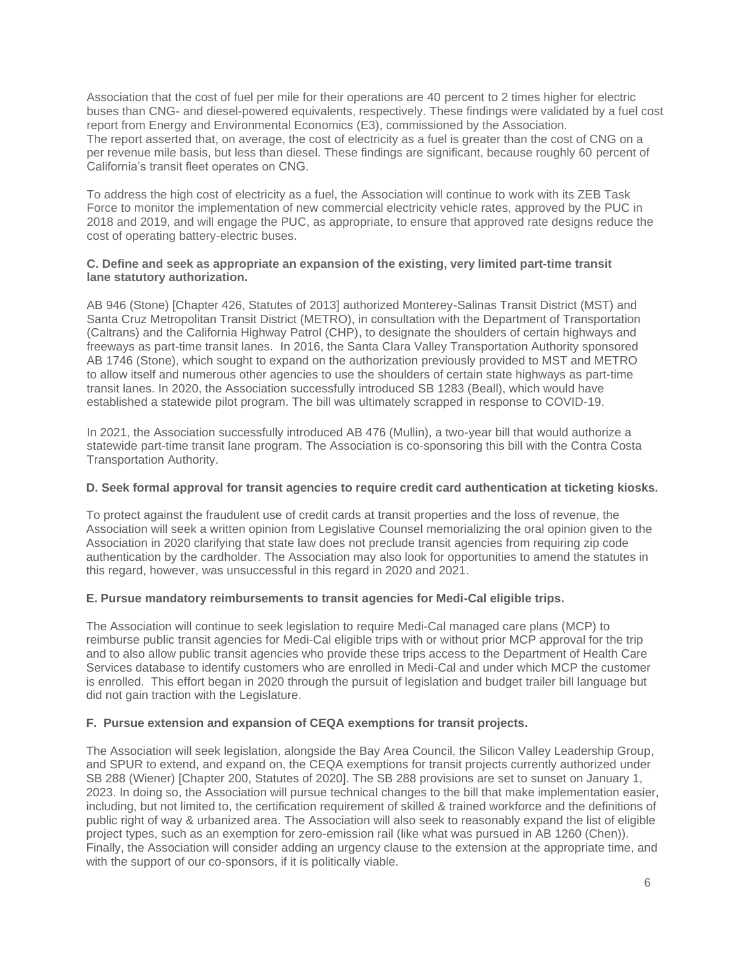Association that the cost of fuel per mile for their operations are 40 percent to 2 times higher for electric buses than CNG- and diesel-powered equivalents, respectively. These findings were validated by a fuel cost report from Energy and Environmental Economics (E3), commissioned by the Association. The report asserted that, on average, the cost of electricity as a fuel is greater than the cost of CNG on a per revenue mile basis, but less than diesel. These findings are significant, because roughly 60 percent of California's transit fleet operates on CNG.

To address the high cost of electricity as a fuel, the Association will continue to work with its ZEB Task Force to monitor the implementation of new commercial electricity vehicle rates, approved by the PUC in 2018 and 2019, and will engage the PUC, as appropriate, to ensure that approved rate designs reduce the cost of operating battery-electric buses.

## **C. Define and seek as appropriate an expansion of the existing, very limited part-time transit lane statutory authorization.**

AB 946 (Stone) [Chapter 426, Statutes of 2013] authorized Monterey-Salinas Transit District (MST) and Santa Cruz Metropolitan Transit District (METRO), in consultation with the Department of Transportation (Caltrans) and the California Highway Patrol (CHP), to designate the shoulders of certain highways and freeways as part-time transit lanes. In 2016, the Santa Clara Valley Transportation Authority sponsored AB 1746 (Stone), which sought to expand on the authorization previously provided to MST and METRO to allow itself and numerous other agencies to use the shoulders of certain state highways as part-time transit lanes. In 2020, the Association successfully introduced SB 1283 (Beall), which would have established a statewide pilot program. The bill was ultimately scrapped in response to COVID-19.

In 2021, the Association successfully introduced AB 476 (Mullin), a two-year bill that would authorize a statewide part-time transit lane program. The Association is co-sponsoring this bill with the Contra Costa Transportation Authority.

## **D. Seek formal approval for transit agencies to require credit card authentication at ticketing kiosks.**

To protect against the fraudulent use of credit cards at transit properties and the loss of revenue, the Association will seek a written opinion from Legislative Counsel memorializing the oral opinion given to the Association in 2020 clarifying that state law does not preclude transit agencies from requiring zip code authentication by the cardholder. The Association may also look for opportunities to amend the statutes in this regard, however, was unsuccessful in this regard in 2020 and 2021.

## **E. Pursue mandatory reimbursements to transit agencies for Medi-Cal eligible trips.**

The Association will continue to seek legislation to require Medi-Cal managed care plans (MCP) to reimburse public transit agencies for Medi-Cal eligible trips with or without prior MCP approval for the trip and to also allow public transit agencies who provide these trips access to the Department of Health Care Services database to identify customers who are enrolled in Medi-Cal and under which MCP the customer is enrolled.This effort began in 2020 through the pursuit of legislation and budget trailer bill language but did not gain traction with the Legislature.

# **F. Pursue extension and expansion of CEQA exemptions for transit projects.**

The Association will seek legislation, alongside the Bay Area Council, the Silicon Valley Leadership Group, and SPUR to extend, and expand on, the CEQA exemptions for transit projects currently authorized under SB 288 (Wiener) [Chapter 200, Statutes of 2020]. The SB 288 provisions are set to sunset on January 1, 2023. In doing so, the Association will pursue technical changes to the bill that make implementation easier, including, but not limited to, the certification requirement of skilled & trained workforce and the definitions of public right of way & urbanized area. The Association will also seek to reasonably expand the list of eligible project types, such as an exemption for zero-emission rail (like what was pursued in AB 1260 (Chen)). Finally, the Association will consider adding an urgency clause to the extension at the appropriate time, and with the support of our co-sponsors, if it is politically viable.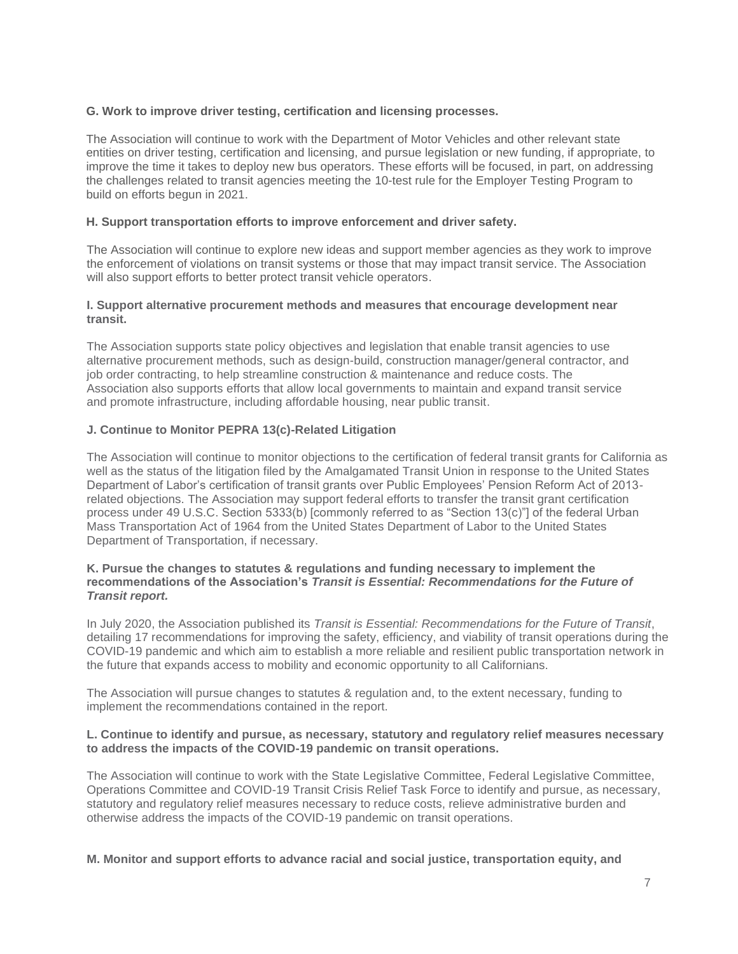# **G. Work to improve driver testing, certification and licensing processes.**

The Association will continue to work with the Department of Motor Vehicles and other relevant state entities on driver testing, certification and licensing, and pursue legislation or new funding, if appropriate, to improve the time it takes to deploy new bus operators. These efforts will be focused, in part, on addressing the challenges related to transit agencies meeting the 10-test rule for the Employer Testing Program to build on efforts begun in 2021.

# **H. Support transportation efforts to improve enforcement and driver safety.**

The Association will continue to explore new ideas and support member agencies as they work to improve the enforcement of violations on transit systems or those that may impact transit service. The Association will also support efforts to better protect transit vehicle operators.

## **I. Support alternative procurement methods and measures that encourage development near transit.**

The Association supports state policy objectives and legislation that enable transit agencies to use alternative procurement methods, such as design-build, construction manager/general contractor, and job order contracting, to help streamline construction & maintenance and reduce costs. The Association also supports efforts that allow local governments to maintain and expand transit service and promote infrastructure, including affordable housing, near public transit.

# **J. Continue to Monitor PEPRA 13(c)-Related Litigation**

The Association will continue to monitor objections to the certification of federal transit grants for California as well as the status of the litigation filed by the Amalgamated Transit Union in response to the United States Department of Labor's certification of transit grants over Public Employees' Pension Reform Act of 2013 related objections. The Association may support federal efforts to transfer the transit grant certification process under 49 U.S.C. Section 5333(b) [commonly referred to as "Section 13(c)"] of the federal Urban Mass Transportation Act of 1964 from the United States Department of Labor to the United States Department of Transportation, if necessary.

## **K. Pursue the changes to statutes & regulations and funding necessary to implement the recommendations of the Association's** *Transit is Essential: Recommendations for the Future of Transit report.*

In July 2020, the Association published its *Transit is Essential: Recommendations for the Future of Transit*, detailing 17 recommendations for improving the safety, efficiency, and viability of transit operations during the COVID-19 pandemic and which aim to establish a more reliable and resilient public transportation network in the future that expands access to mobility and economic opportunity to all Californians.

The Association will pursue changes to statutes & regulation and, to the extent necessary, funding to implement the recommendations contained in the report.

## **L. Continue to identify and pursue, as necessary, statutory and regulatory relief measures necessary to address the impacts of the COVID-19 pandemic on transit operations.**

The Association will continue to work with the State Legislative Committee, Federal Legislative Committee, Operations Committee and COVID-19 Transit Crisis Relief Task Force to identify and pursue, as necessary, statutory and regulatory relief measures necessary to reduce costs, relieve administrative burden and otherwise address the impacts of the COVID-19 pandemic on transit operations.

**M. Monitor and support efforts to advance racial and social justice, transportation equity, and**